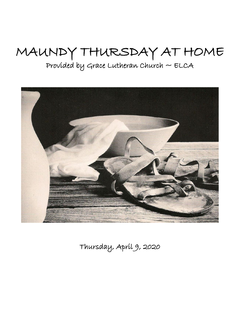# MAUNDY THURSDAY AT HOME

Provided by Grace Lutheran Church  $\sim$  ELCA



Thursday, April 9, 2020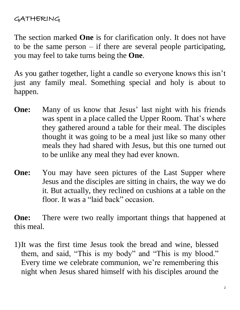### GATHERING

The section marked **One** is for clarification only. It does not have to be the same person  $-$  if there are several people participating, you may feel to take turns being the **One**.

As you gather together, light a candle so everyone knows this isn't just any family meal. Something special and holy is about to happen.

- **One:** Many of us know that Jesus' last night with his friends was spent in a place called the Upper Room. That's where they gathered around a table for their meal. The disciples thought it was going to be a meal just like so many other meals they had shared with Jesus, but this one turned out to be unlike any meal they had ever known.
- **One:** You may have seen pictures of the Last Supper where Jesus and the disciples are sitting in chairs, the way we do it. But actually, they reclined on cushions at a table on the floor. It was a "laid back" occasion.

**One:** There were two really important things that happened at this meal.

1)It was the first time Jesus took the bread and wine, blessed them, and said, "This is my body" and "This is my blood." Every time we celebrate communion, we're remembering this night when Jesus shared himself with his disciples around the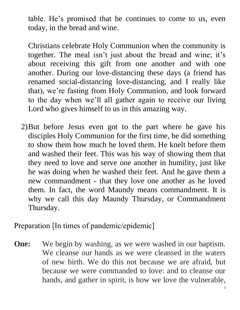table. He's promised that he continues to come to us, even today, in the bread and wine.

Christians celebrate Holy Communion when the community is together. The meal isn't just about the bread and wine; it's about receiving this gift from one another and with one another. During our love-distancing these days (a friend has renamed social-distancing love-distancing, and I really like that), we're fasting from Holy Communion, and look forward to the day when we'll all gather again to receive our living Lord who gives himself to us in this amazing way.

2)But before Jesus even got to the part where he gave his disciples Holy Communion for the first time, he did something to show them how much he loved them. He knelt before them and washed their feet. This was his way of showing them that they need to love and serve one another in humility, just like he was doing when he washed their feet. And he gave them a new commandment - that they love one another as he loved them. In fact, the word Maundy means commandment. It is why we call this day Maundy Thursday, or Commandment Thursday.

Preparation [In times of pandemic/epidemic]

**One:** We begin by washing, as we were washed in our baptism. We cleanse our hands as we were cleansed in the waters of new birth. We do this not because we are afraid, but because we were commanded to love: and to cleanse our hands, and gather in spirit, is how we love the vulnerable,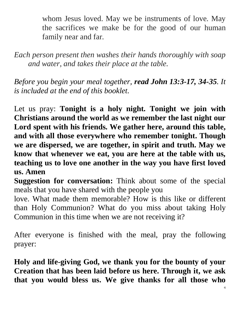whom Jesus loved. May we be instruments of love. May the sacrifices we make be for the good of our human family near and far.

*Each person present then washes their hands thoroughly with soap and water, and takes their place at the table.*

*Before you begin your meal together, read John 13:3-17, 34-35. It is included at the end of this booklet.*

Let us pray: **Tonight is a holy night. Tonight we join with Christians around the world as we remember the last night our Lord spent with his friends. We gather here, around this table, and with all those everywhere who remember tonight. Though we are dispersed, we are together, in spirit and truth. May we know that whenever we eat, you are here at the table with us, teaching us to love one another in the way you have first loved us. Amen**

**Suggestion for conversation:** Think about some of the special meals that you have shared with the people you

love. What made them memorable? How is this like or different than Holy Communion? What do you miss about taking Holy Communion in this time when we are not receiving it?

After everyone is finished with the meal, pray the following prayer:

**Holy and life-giving God, we thank you for the bounty of your Creation that has been laid before us here. Through it, we ask that you would bless us. We give thanks for all those who**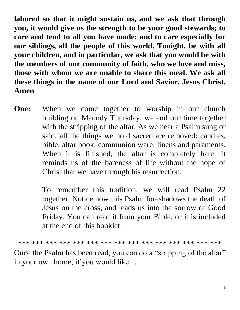**labored so that it might sustain us, and we ask that through you, it would give us the strength to be your good stewards; to care and tend to all you have made; and to care especially for our siblings, all the people of this world. Tonight, be with all your children, and in particular, we ask that you would be with the members of our community of faith, who we love and miss, those with whom we are unable to share this meal. We ask all these things in the name of our Lord and Savior, Jesus Christ. Amen**

**One:** When we come together to worship in our church building on Maundy Thursday, we end our time together with the stripping of the altar. As we hear a Psalm sung or said, all the things we hold sacred are removed: candles, bible, altar book, communion ware, linens and paraments. When it is finished, the altar is completely bare. It reminds us of the bareness of life without the hope of Christ that we have through his resurrection.

> To remember this tradition, we will read Psalm 22 together. Notice how this Psalm foreshadows the death of Jesus on the cross, and leads us into the sorrow of Good Friday. You can read it from your Bible, or it is included at the end of this booklet.

\*\*\* \*\*\* \*\*\* \*\*\* \*\*\* \*\*\* \*\*\* \*\*\* \*\*\* \*\*\* \*\*\* \*\*\* \*\*\* \*\*\* \*\*\*

Once the Psalm has been read, you can do a "stripping of the altar" in your own home, if you would like…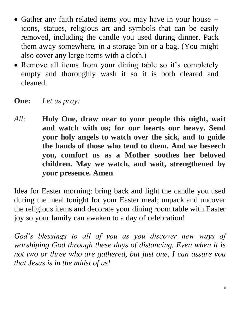- Gather any faith related items you may have in your house -icons, statues, religious art and symbols that can be easily removed, including the candle you used during dinner. Pack them away somewhere, in a storage bin or a bag. (You might also cover any large items with a cloth.)
- Remove all items from your dining table so it's completely empty and thoroughly wash it so it is both cleared and cleaned.
- **One:** *Let us pray:*
- *All:* **Holy One, draw near to your people this night, wait and watch with us; for our hearts our heavy. Send your holy angels to watch over the sick, and to guide the hands of those who tend to them. And we beseech you, comfort us as a Mother soothes her beloved children. May we watch, and wait, strengthened by your presence. Amen**

Idea for Easter morning: bring back and light the candle you used during the meal tonight for your Easter meal; unpack and uncover the religious items and decorate your dining room table with Easter joy so your family can awaken to a day of celebration!

God's blessings to all of you as you discover new ways of *worshiping God through these days of distancing. Even when it is not two or three who are gathered, but just one, I can assure you that Jesus is in the midst of us!*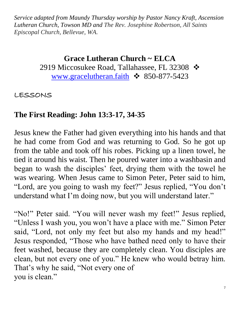*Service adapted from Maundy Thursday worship by Pastor Nancy Kraft, Ascension Lutheran Church, Towson MD and The Rev. Josephine Robertson, All Saints Episcopal Church, Bellevue, WA.*

#### **Grace Lutheran Church ~ ELCA**

2919 Miccosukee Road, Tallahassee, FL 32308 ❖ [www.gracelutheran.faith](http://www.gracelutheran.faith/)  $\cdot$  850-877-5423

LESSONS

## **The First Reading: John 13:3-17, 34-35**

Jesus knew the Father had given everything into his hands and that he had come from God and was returning to God. So he got up from the table and took off his robes. Picking up a linen towel, he tied it around his waist. Then he poured water into a washbasin and began to wash the disciples' feet, drying them with the towel he was wearing. When Jesus came to Simon Peter, Peter said to him, "Lord, are you going to wash my feet?" Jesus replied, "You don't understand what I'm doing now, but you will understand later."

"No!" Peter said. "You will never wash my feet!" Jesus replied, "Unless I wash you, you won't have a place with me." Simon Peter said, "Lord, not only my feet but also my hands and my head!" Jesus responded, "Those who have bathed need only to have their feet washed, because they are completely clean. You disciples are clean, but not every one of you." He knew who would betray him. That's why he said, "Not every one of you is clean."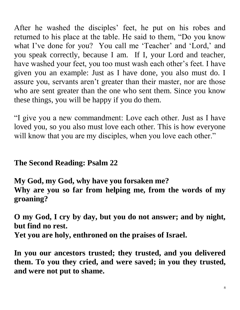After he washed the disciples' feet, he put on his robes and returned to his place at the table. He said to them, "Do you know what I've done for you? You call me 'Teacher' and 'Lord,' and you speak correctly, because I am. If I, your Lord and teacher, have washed your feet, you too must wash each other's feet. I have given you an example: Just as I have done, you also must do. I assure you, servants aren't greater than their master, nor are those who are sent greater than the one who sent them. Since you know these things, you will be happy if you do them.

"I give you a new commandment: Love each other. Just as I have loved you, so you also must love each other. This is how everyone will know that you are my disciples, when you love each other."

## **The Second Reading: Psalm 22**

**My God, my God, why have you forsaken me? Why are you so far from helping me, from the words of my groaning?**

**O my God, I cry by day, but you do not answer; and by night, but find no rest.**

**Yet you are holy, enthroned on the praises of Israel.**

**In you our ancestors trusted; they trusted, and you delivered them. To you they cried, and were saved; in you they trusted, and were not put to shame.**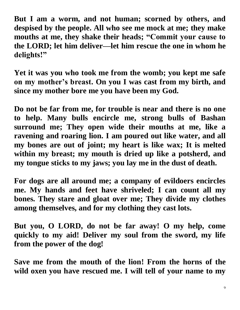**But I am a worm, and not human; scorned by others, and despised by the people. All who see me mock at me; they make mouths at me, they shake their heads; "Commit your cause to the LORD; let him deliver—let him rescue the one in whom he delights!"**

**Yet it was you who took me from the womb; you kept me safe on my mother's breast. On you I was cast from my birth, and since my mother bore me you have been my God.**

**Do not be far from me, for trouble is near and there is no one to help. Many bulls encircle me, strong bulls of Bashan surround me; They open wide their mouths at me, like a ravening and roaring lion. I am poured out like water, and all my bones are out of joint; my heart is like wax; It is melted within my breast; my mouth is dried up like a potsherd, and my tongue sticks to my jaws; you lay me in the dust of death.**

**For dogs are all around me; a company of evildoers encircles me. My hands and feet have shriveled; I can count all my bones. They stare and gloat over me; They divide my clothes among themselves, and for my clothing they cast lots.**

**But you, O LORD, do not be far away! O my help, come quickly to my aid! Deliver my soul from the sword, my life from the power of the dog!**

**Save me from the mouth of the lion! From the horns of the wild oxen you have rescued me. I will tell of your name to my**